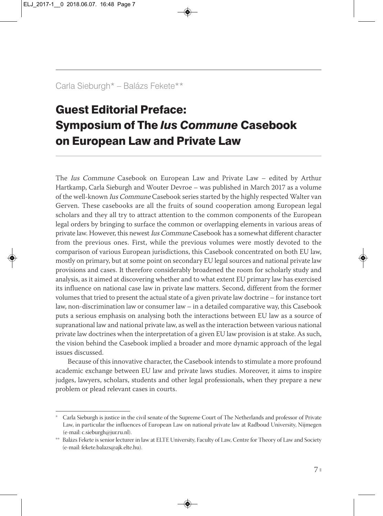## Carla Sieburgh\* – Balázs Fekete\*\*

## Guest Editorial Preface: Symposium of The *Ius Commune* Casebook on European Law and Private Law

The Ius Commune Casebook on European Law and Private Law – edited by Arthur Hartkamp, Carla Sieburgh and Wouter Devroe – was published in March 2017 as a volume of the well-known Ius Commune Casebook series started by the highly respected Walter van Gerven. These casebooks are all the fruits of sound cooperation among European legal scholars and they all try to attract attention to the common components of the European legal orders by bringing to surface the common or overlapping elements in various areas of private law. However, this newest Ius Commune Casebook has a somewhat different character from the previous ones. First, while the previous volumes were mostly devoted to the comparison of various European jurisdictions, this Casebook concentrated on both EU law, mostly on primary, but at some point on secondary EU legal sources and national private law provisions and cases. It therefore considerably broadened the room for scholarly study and analysis, as it aimed at discovering whether and to what extent EU primary law has exercised its influence on national case law in private law matters. Second, different from the former volumes that tried to present the actual state of a given private law doctrine – for instance tort law, non-discrimination law or consumer law – in a detailed comparative way, this Casebook puts a serious emphasis on analysing both the interactions between EU law as a source of supranational law and national private law, as well as the interaction between various national private law doctrines when the interpretation of a given EU law provision is at stake. As such, the vision behind the Casebook implied a broader and more dynamic approach of the legal issues discussed.

Because of this innovative character, the Casebook intends to stimulate a more profound academic exchange between EU law and private laws studies. Moreover, it aims to inspire judges, lawyers, scholars, students and other legal professionals, when they prepare a new problem or plead relevant cases in courts.

Carla Sieburgh is justice in the civil senate of the Supreme Court of The Netherlands and professor of Private Law, in particular the influences of European Law on national private law at Radboud University, Nijmegen (e-mail: c.sieburgh@jur.ru.nl).

<sup>\*\*</sup> Balázs Fekete is senior lecturer in law at ELTE University, Faculty of Law, Centre for Theory of Law and Society (e-mail: fekete.balazs@ajk.elte.hu).